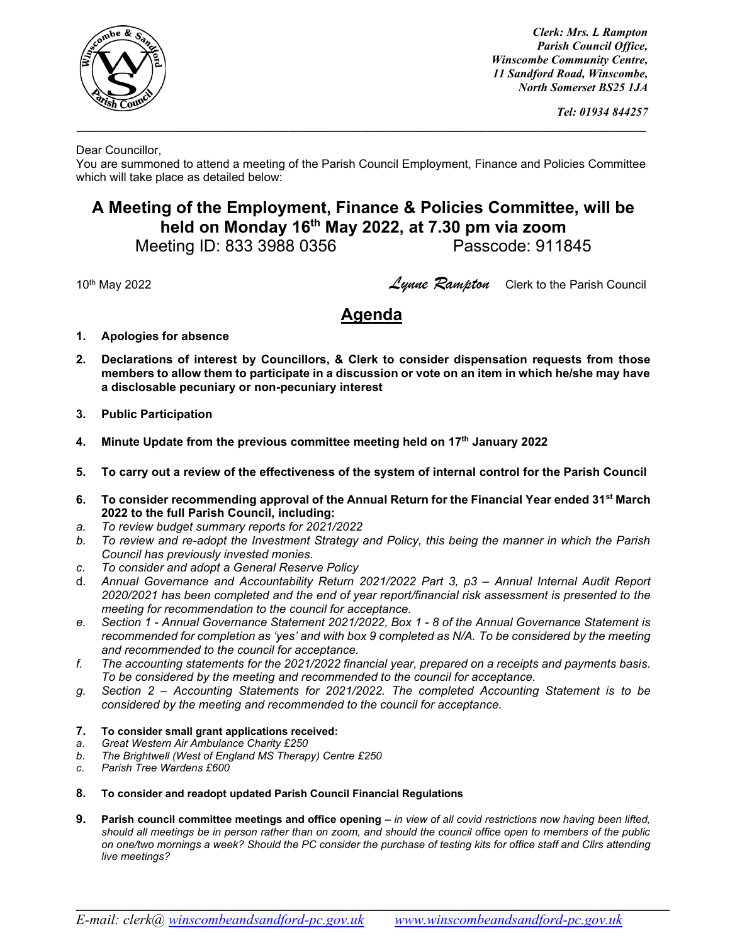

*Clerk: Mrs. L Rampton Parish Council Office, Winscombe Community Centre, 11 Sandford Road, Winscombe, North Somerset BS25 1JA*

Dear Councillor,

You are summoned to attend a meeting of the Parish Council Employment, Finance and Policies Committee which will take place as detailed below:

**\_\_\_\_\_\_\_\_\_\_\_\_\_\_\_\_\_\_\_\_\_\_\_\_\_\_\_\_\_\_\_\_\_\_\_\_\_\_\_\_\_\_\_\_\_\_\_\_\_\_\_\_\_\_\_\_\_\_\_\_\_\_\_\_\_\_\_\_\_\_\_\_\_\_\_\_\_\_\_\_\_\_\_\_\_\_**

## **A Meeting of the Employment, Finance & Policies Committee, will be held on Monday 16 th May 2022, at 7.30 pm via zoom**

Meeting ID: 833 3988 0356 Passcode: 911845

<sup>10</sup>th May 2022 *Lynne Rampton* Clerk to the Parish Council

## **Agenda**

- **1. Apologies for absence**
- **2. Declarations of interest by Councillors, & Clerk to consider dispensation requests from those members to allow them to participate in a discussion or vote on an item in which he/she may have a disclosable pecuniary or non-pecuniary interest**
- **3. Public Participation**
- **4. Minute Update from the previous committee meeting held on 17 th January 2022**
- **5. To carry out a review of the effectiveness of the system of internal control for the Parish Council**
- **6. To consider recommending approval of the Annual Return for the Financial Year ended 31st March 2022 to the full Parish Council, including:**
- *a. To review budget summary reports for 2021/2022*
- *b. To review and re-adopt the Investment Strategy and Policy, this being the manner in which the Parish Council has previously invested monies.*
- *c. To consider and adopt a General Reserve Policy*
- d. *Annual Governance and Accountability Return 2021/2022 Part 3, p3 – Annual Internal Audit Report 2020/2021 has been completed and the end of year report/financial risk assessment is presented to the meeting for recommendation to the council for acceptance.*
- *e. Section 1 - Annual Governance Statement 2021/2022, Box 1 - 8 of the Annual Governance Statement is recommended for completion as 'yes' and with box 9 completed as N/A. To be considered by the meeting and recommended to the council for acceptance.*
- *f. The accounting statements for the 2021/2022 financial year, prepared on a receipts and payments basis. To be considered by the meeting and recommended to the council for acceptance.*
- *g. Section 2 – Accounting Statements for 2021/2022. The completed Accounting Statement is to be considered by the meeting and recommended to the council for acceptance.*
- **7. To consider small grant applications received:**
- *a. Great Western Air Ambulance Charity £250*
- *b. The Brightwell (West of England MS Therapy) Centre £250*
- *c. Parish Tree Wardens £600*
- **8. To consider and readopt updated Parish Council Financial Regulations**
- **9.** Parish council committee meetings and office opening in view of all covid restrictions now having been lifted, *should all meetings be in person rather than on zoom, and should the council office open to members of the public on one/two mornings a week? Should the PC consider the purchase of testing kits for office staff and Cllrs attending live meetings?*

 $\mathcal{L}_\mathcal{L} = \{ \mathcal{L}_\mathcal{L} = \{ \mathcal{L}_\mathcal{L} = \{ \mathcal{L}_\mathcal{L} = \{ \mathcal{L}_\mathcal{L} = \{ \mathcal{L}_\mathcal{L} = \{ \mathcal{L}_\mathcal{L} = \{ \mathcal{L}_\mathcal{L} = \{ \mathcal{L}_\mathcal{L} = \{ \mathcal{L}_\mathcal{L} = \{ \mathcal{L}_\mathcal{L} = \{ \mathcal{L}_\mathcal{L} = \{ \mathcal{L}_\mathcal{L} = \{ \mathcal{L}_\mathcal{L} = \{ \mathcal{L}_\mathcal{$